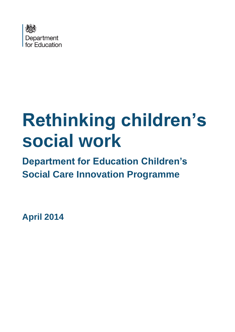

# **Rethinking children's social work**

**Department for Education Children's Social Care Innovation Programme**

**April 2014**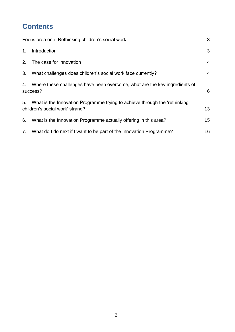## **Contents**

| Focus area one: Rethinking children's social work |                                                                                                               |                |
|---------------------------------------------------|---------------------------------------------------------------------------------------------------------------|----------------|
| 1.                                                | Introduction                                                                                                  | 3              |
|                                                   | 2. The case for innovation                                                                                    | $\overline{4}$ |
| 3.                                                | What challenges does children's social work face currently?                                                   | 4              |
| 4.                                                | Where these challenges have been overcome, what are the key ingredients of<br>success?                        | 6              |
| 5.                                                | What is the Innovation Programme trying to achieve through the 'rethinking<br>children's social work' strand? | 13             |
| 6.                                                | What is the Innovation Programme actually offering in this area?                                              | 15             |
| 7.                                                | What do I do next if I want to be part of the Innovation Programme?                                           | 16             |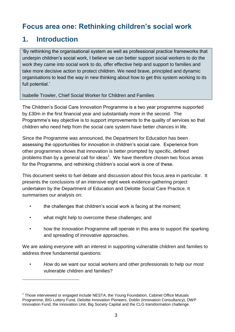## <span id="page-2-0"></span>**Focus area one: Rethinking children's social work**

## <span id="page-2-1"></span>**1. Introduction**

1

'By rethinking the organisational system as well as professional practice frameworks that underpin children's social work, I believe we can better support social workers to do the work they came into social work to do, offer effective help and support to families and take more decisive action to protect children. We need brave, principled and dynamic organisations to lead the way in new thinking about how to get this system working to its full potential.'

Isabelle Trowler, Chief Social Worker for Children and Families

The Children's Social Care Innovation Programme is a two year programme supported by £30m in the first financial year and substantially more in the second. The Programme's key objective is to support improvements to the quality of services so that children who need help from the social care system have better chances in life.

Since the Programme was announced, the Department for Education has been assessing the opportunities for innovation in children's social care. Experience from other programmes shows that innovation is better prompted by specific, defined problems than by a general call for ideas<sup>1</sup>. We have therefore chosen two focus areas for the Programme, and rethinking children's social work is one of these.

This document seeks to fuel debate and discussion about this focus area in particular. It presents the conclusions of an intensive eight week evidence-gathering project undertaken by the Department of Education and Deloitte Social Care Practice. It summarises our analysis on:

- the challenges that children's social work is facing at the moment;
- what might help to overcome these challenges; and
- how the Innovation Programme will operate in this area to support the sparking and spreading of innovative approaches.

We are asking everyone with an interest in supporting vulnerable children and families to address three fundamental questions:

• *How* do we want our social workers and other professionals to help our most vulnerable children and families?

<sup>&</sup>lt;sup>1</sup> Those interviewed or engaged include NESTA, the Young Foundation, Cabinet Office Mutuals Programme, BIG Lottery Fund, Deloitte Innovation Pioneers, Doblin (Innovation Consultancy), DWP Innovation Fund, the Innovation Unit, Big Society Capital and the CLG transformation challenge.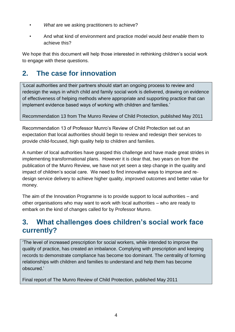- *What* are we asking practitioners to achieve?
- And what kind of environment and practice model would *best enable* them to achieve this?

We hope that this document will help those interested in rethinking children's social work to engage with these questions.

## <span id="page-3-0"></span>**2. The case for innovation**

'Local authorities and their partners should start an ongoing process to review and redesign the ways in which child and family social work is delivered, drawing on evidence of effectiveness of helping methods where appropriate and supporting practice that can implement evidence based ways of working with children and families.'

Recommendation 13 from The Munro Review of Child Protection, published May 2011

Recommendation 13 of Professor Munro's Review of Child Protection set out an expectation that local authorities should begin to review and redesign their services to provide child-focused, high quality help to children and families.

A number of local authorities have grasped this challenge and have made great strides in implementing transformational plans. However it is clear that, two years on from the publication of the Munro Review, we have not yet seen a step change in the quality and impact of children's social care. We need to find innovative ways to improve and redesign service delivery to achieve higher quality, improved outcomes and better value for money.

The aim of the Innovation Programme is to provide support to local authorities – and other organisations who may want to work with local authorities – who are ready to embark on the kind of changes called for by Professor Munro.

## <span id="page-3-1"></span>**3. What challenges does children's social work face currently?**

'The level of increased prescription for social workers, while intended to improve the quality of practice, has created an imbalance. Complying with prescription and keeping records to demonstrate compliance has become too dominant. The centrality of forming relationships with children and families to understand and help them has become obscured.'

Final report of The Munro Review of Child Protection, published May 2011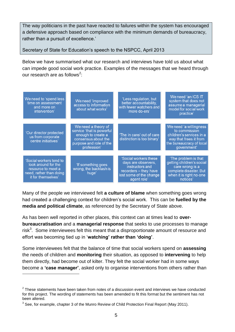The way politicians in the past have reacted to failures within the system has encouraged a defensive approach based on compliance with the minimum demands of bureaucracy, rather than a pursuit of excellence.'

Secretary of State for Education's speech to the NSPCC, April 2013

Below we have summarised what our research and interviews have told us about what can impede good social work practice. Examples of the messages that we heard through our research are as follows<sup>2</sup>:

| We need to 'spend less<br>time on assessment<br>and more on<br>intervention'                                          | We need 'improved<br>access to information<br>about what works'                                                                         | 'Less regulation, but<br>better accountability,<br>with fewer watchers and<br>more do-ers'                                         | We need 'an ICS IT<br>system that does not<br>assume a managerial<br>model for social work<br>practice'                                  |
|-----------------------------------------------------------------------------------------------------------------------|-----------------------------------------------------------------------------------------------------------------------------------------|------------------------------------------------------------------------------------------------------------------------------------|------------------------------------------------------------------------------------------------------------------------------------------|
| 'Our director protected<br>us from corporate<br>centre initiatives'                                                   | We need a theory of<br>service 'that is powerful<br>enough to create a<br>consensus about the<br>purpose and role of the<br>profession' | 'The in care/ out of care<br>distinction is too binary'                                                                            | We need 'a willingness<br>to commission<br>children's services in a<br>way that frees it from<br>the bureaucracy of local<br>government' |
| 'Social workers tend to<br>look around for the<br>resource to meet a<br>need, rather than doing<br>it for themselves' | 'If something goes<br>wrong, the backlash is<br>huge'                                                                                   | 'Social workers these<br>days are observers,<br>instructors and<br>recorders - they have<br>lost some of the change<br>agent role' | 'The problem is that<br>getting children's social<br>care wrong is a<br>complete disaster. But<br>when it is right no-one<br>notices'    |

Many of the people we interviewed felt **a culture of blame** when something goes wrong had created a challenging context for children's social work. This can be **fuelled by the media and political climate**, as referenced by the Secretary of State above.

As has been well reported in other places, this context can at times lead to **overbureaucratisation** and a **managerial response** that seeks to use processes to manage risk $3$ . Some interviewees felt this meant that a disproportionate amount of resource and effort was becoming tied up in '**watching' rather than 'doing'**.

Some interviewees felt that the balance of time that social workers spend on **assessing** the needs of children and **monitoring** their situation, as opposed to **intervening** to help them directly, had become out of kilter. They felt the social worker had in some ways become a **'case manager'**, asked only to organise interventions from others rather than 1

 $2$  These statements have been taken from notes of a discussion event and interviews we have conducted for this project. The wording of statements has been amended to fit this format but the sentiment has not been altered.

 $3$  See, for example, chapter 3 of the Munro Review of Child Protection Final Report (May 2011).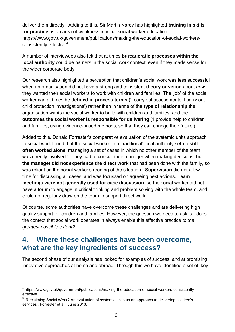deliver them directly. Adding to this, Sir Martin Narey has highlighted **training in skills for practice** as an area of weakness in initial social worker education https://www.gov.uk/government/publications/making-the-education-of-social-workersconsistently-effective<sup>4</sup>.

A number of interviewees also felt that at times **bureaucratic processes within the local authority** could be barriers in the social work context, even if they made sense for the wider corporate body.

Our research also highlighted a perception that children's social work was less successful when an organisation did not have a strong and consistent **theory or vision** about *how* they wanted their social workers to work with children and families. The 'job' of the social worker can at times be **defined in process terms** ('I carry out assessments, I carry out child protection investigations') rather than in terms of the **type of relationship** the organisation wants the social worker to build with children and families, and the **outcomes the social worker is responsible for delivering** ('I provide help to children and families, using evidence-based methods, so that they can change their future').

Added to this, Donald Forrester's comparative evaluation of the systemic units approach to social work found that the social worker in a 'traditional' local authority set-up **still often worked alone**, managing a set of cases in which no other member of the team was directly involved<sup>5</sup>. They had to consult their manager when making decisions, but **the manager did not experience the direct work** that had been done with the family, so was reliant on the social worker's reading of the situation. **Supervision** did not allow time for discussing all cases, and was focussed on agreeing next actions. **Team meetings were not generally used for case discussion**, so the social worker did not have a forum to engage in critical thinking and problem solving with the whole team, and could not regularly draw on the team to support direct work.

Of course, some authorities have overcome these challenges and are delivering high quality support for children and families. However, the question we need to ask is - does the context that social work operates in always enable this effective practice *to the greatest possible extent*?

## <span id="page-5-0"></span>**4. Where these challenges have been overcome, what are the key ingredients of success?**

The second phase of our analysis has looked for examples of success, and at promising innovative approaches at home and abroad. Through this we have identified a set of 'key

1

<sup>&</sup>lt;sup>4</sup> https://www.gov.uk/government/publications/making-the-education-of-social-workers-consistentlyeffective

<sup>&</sup>lt;sup>5</sup> 'Reclaiming Social Work? An evaluation of systemic units as an approach to delivering children's services', Forrester et al., June 2013.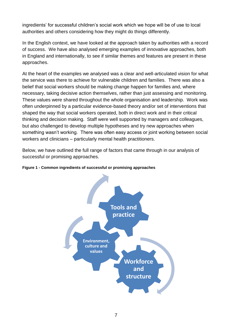ingredients' for successful children's social work which we hope will be of use to local authorities and others considering how they might do things differently.

In the English context, we have looked at the approach taken by authorities with a record of success. We have also analysed emerging examples of innovative approaches, both in England and internationally, to see if similar themes and features are present in these approaches.

At the heart of the examples we analysed was a clear and well-articulated vision for what the service was there to achieve for vulnerable children and families. There was also a belief that social workers should be making change happen for families and, where necessary, taking decisive action themselves, rather than just assessing and monitoring. These values were shared throughout the whole organisation and leadership. Work was often underpinned by a particular evidence-based theory and/or set of interventions that shaped the way that social workers operated, both in direct work and in their critical thinking and decision making. Staff were well supported by managers and colleagues, but also challenged to develop multiple hypotheses and try new approaches when something wasn't working. There was often easy access or joint working between social workers and clinicians – particularly mental health practitioners.

Below, we have outlined the full range of factors that came through in our analysis of successful or promising approaches.



**Figure 1 - Common ingredients of successful or promising approaches**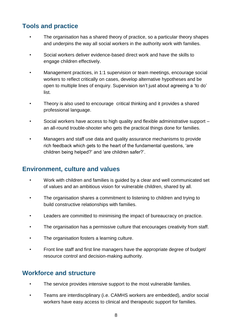#### **Tools and practice**

- The organisation has a shared theory of practice, so a particular theory shapes and underpins the way all social workers in the authority work with families.
- Social workers deliver evidence-based direct work and have the skills to engage children effectively.
- Management practices, in 1:1 supervision or team meetings, encourage social workers to reflect critically on cases, develop alternative hypotheses and be open to multiple lines of enquiry. Supervision isn't just about agreeing a 'to do' list.
- Theory is also used to encourage critical thinking and it provides a shared professional language.
- Social workers have access to high quality and flexible administrative support an all-round trouble-shooter who gets the practical things done for families.
- Managers and staff use data and quality assurance mechanisms to provide rich feedback which gets to the heart of the fundamental questions, 'are children being helped?' and 'are children safer?'.

#### **Environment, culture and values**

- Work with children and families is guided by a clear and well communicated set of values and an ambitious vision for vulnerable children, shared by all.
- The organisation shares a commitment to listening to children and trying to build constructive relationships with families.
- Leaders are committed to minimising the impact of bureaucracy on practice.
- The organisation has a permissive culture that encourages creativity from staff.
- The organisation fosters a learning culture.
- Front line staff and first line managers have the appropriate degree of budget/ resource control and decision-making authority.

#### **Workforce and structure**

- The service provides intensive support to the most vulnerable families.
- Teams are interdisciplinary (i.e. CAMHS workers are embedded), and/or social workers have easy access to clinical and therapeutic support for families.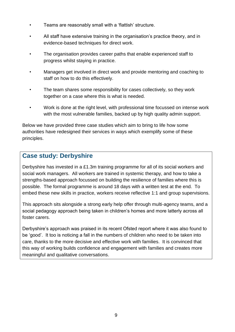- Teams are reasonably small with a 'flattish' structure.
- All staff have extensive training in the organisation's practice theory, and in evidence-based techniques for direct work.
- The organisation provides career paths that enable experienced staff to progress whilst staying in practice.
- Managers get involved in direct work and provide mentoring and coaching to staff on how to do this effectively.
- The team shares some responsibility for cases collectively, so they work together on a case where this is what is needed.
- Work is done at the right level, with professional time focussed on intense work with the most vulnerable families, backed up by high quality admin support.

Below we have provided three case studies which aim to bring to life how some authorities have redesigned their services in ways which exemplify some of these principles.

#### **Case study: Derbyshire**

Derbyshire has invested in a £1.3m training programme for all of its social workers and social work managers. All workers are trained in systemic therapy, and how to take a strengths-based approach focussed on building the resilience of families where this is possible. The formal programme is around 18 days with a written test at the end. To embed these new skills in practice, workers receive reflective 1:1 and group supervisions.

This approach sits alongside a strong early help offer through multi-agency teams, and a social pedagogy approach being taken in children's homes and more latterly across all foster carers.

Derbyshire's approach was praised in its recent Ofsted report where it was also found to be 'good'. It too is noticing a fall in the numbers of children who need to be taken into care, thanks to the more decisive and effective work with families. It is convinced that this way of working builds confidence and engagement with families and creates more meaningful and qualitative conversations.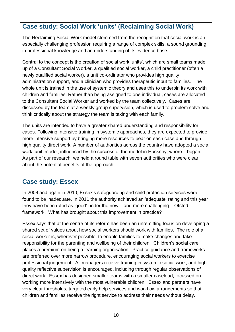#### **Case study: Social Work 'units' (Reclaiming Social Work)**

The Reclaiming Social Work model stemmed from the recognition that social work is an especially challenging profession requiring a range of complex skills, a sound grounding in professional knowledge and an understanding of its evidence base.

Central to the concept is the creation of social work 'units', which are small teams made up of a Consultant Social Worker, a qualified social worker, a child practitioner (often a newly qualified social worker), a unit co-ordinator who provides high quality administration support, and a clinician who provides therapeutic input to families. The whole unit is trained in the use of systemic theory and uses this to underpin its work with children and families. Rather than being assigned to one individual, cases are allocated to the Consultant Social Worker and worked by the team collectively. Cases are discussed by the team at a weekly group supervision, which is used to problem solve and think critically about the strategy the team is taking with each family.

The units are intended to have a greater shared understanding and responsibility for cases. Following intensive training in systemic approaches, they are expected to provide more intensive support by bringing more resources to bear on each case and through high quality direct work. A number of authorities across the country have adopted a social work 'unit' model, influenced by the success of the model in Hackney, where it began. As part of our research, we held a round table with seven authorities who were clear about the potential benefits of the approach.

#### **Case study: Essex**

In 2008 and again in 2010, Essex's safeguarding and child protection services were found to be inadequate. In 2011 the authority achieved an 'adequate' rating and this year they have been rated as 'good' under the new – and more challenging – Ofsted framework. What has brought about this improvement in practice?

Essex says that at the centre of its reform has been an unremitting focus on developing a shared set of values about how social workers should work with families. The role of a social worker is, wherever possible, to enable families to make changes and take responsibility for the parenting and wellbeing of their children. Children's social care places a premium on being a learning organisation. Practice guidance and frameworks are preferred over more narrow procedure, encouraging social workers to exercise professional judgement. All managers receive training in systemic social work, and high quality reflective supervision is encouraged, including through regular observations of direct work. Essex has designed smaller teams with a smaller caseload, focussed on working more intensively with the most vulnerable children. Essex and partners have very clear thresholds, targeted early help services and workflow arrangements so that children and families receive the right service to address their needs without delay.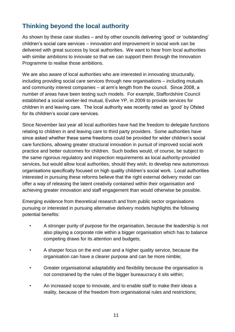### **Thinking beyond the local authority**

As shown by these case studies – and by other councils delivering 'good' or 'outstanding' children's social care services – innovation and improvement in social work can be delivered with great success by local authorities. We want to hear from local authorities with similar ambitions to innovate so that we can support them through the Innovation Programme to realise those ambitions.

We are also aware of local authorities who are interested in innovating structurally, including providing social care services through new organisations – including mutuals and community interest companies – at arm's length from the council. Since 2008, a number of areas have been testing such models. For example, Staffordshire Council established a social worker-led mutual, Evolve YP, in 2009 to provide services for children in and leaving care. The local authority was recently rated as 'good' by Ofsted for its children's social care services.

Since November last year all local authorities have had the freedom to delegate functions relating to children in and leaving care to third party providers. Some authorities have since asked whether these same freedoms could be provided for wider children's social care functions, allowing greater structural innovation in pursuit of improved social work practice and better outcomes for children. Such bodies would, of course, be subject to the same rigorous regulatory and inspection requirements as local authority-provided services, but would allow local authorities, should they wish, to develop new autonomous organisations specifically focused on high quality children's social work. Local authorities interested in pursuing these reforms believe that the right external delivery model can offer a way of releasing the latent creativity contained within their organisation and achieving greater innovation and staff engagement than would otherwise be possible.

Emerging evidence from theoretical research and from public sector organisations pursuing or interested in pursuing alternative delivery models highlights the following potential benefits:

- A stronger purity of purpose for the organisation, because the leadership is not also playing a corporate role within a bigger organisation which has to balance competing draws for its attention and budgets;
- A sharper focus on the end user and a higher quality service, because the organisation can have a clearer purpose and can be more nimble;
- Greater organisational adaptability and flexibility because the organisation is not constrained by the rules of the bigger bureaucracy it sits within;
- An increased scope to innovate, and to enable staff to make their ideas a reality, because of the freedom from organisational rules and restrictions;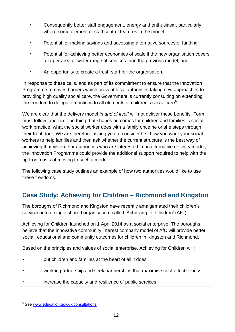- Consequently better staff engagement, energy and enthusiasm, particularly where some element of staff control features in the model;
- Potential for making savings and accessing alternative sources of funding;
- Potential for achieving better economies of scale if the new organisation covers a larger area or wider range of services than the previous model; and
- An opportunity to create a fresh start for the organisation.

In response to these calls, and as part of its commitment to ensure that the Innovation Programme removes barriers which prevent local authorities taking new approaches to providing high quality social care, the Government is currently consulting on extending the freedom to delegate functions to all elements of children's social care $6$ .

We are clear that the delivery model *in and of itself* will not deliver these benefits. Form must follow function. The thing that shapes outcomes for children and families is social work practice: what the social worker does with a family once he or she steps through their front door. We are therefore asking you to consider first how you want your social workers to help families and then ask whether the current structure is the best way of achieving that vision. For authorities who are interested in an alternative delivery model, the Innovation Programme could provide the additional support required to help with the up-front costs of moving to such a model.

The following case study outlines an example of how two authorities would like to use these freedoms.

## **Case Study: Achieving for Children – Richmond and Kingston**

The boroughs of Richmond and Kingston have recently amalgamated their children's services into a single shared organisation, called 'Achieving for Children' (AfC).

Achieving for Children launched on 1 April 2014 as a social enterprise. The boroughs believe that the innovative community interest company model of AfC will provide better social, educational and community outcomes for children in Kingston and Richmond.

Based on the principles and values of social enterprise, Achieving for Children will:

- put children and families at the heart of all it does
- work in partnership and seek partnerships that maximise cost-effectiveness
- increase the capacity and resilience of public services

Ī

<sup>&</sup>lt;sup>6</sup> See [www.education.gov.uk/consultations](http://www.education.gov.uk/consultations)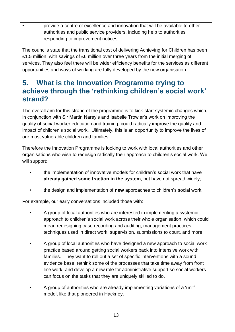• provide a centre of excellence and innovation that will be available to other authorities and public service providers, including help to authorities responding to improvement notices

The councils state that the transitional cost of delivering Achieving for Children has been £1.5 million, with savings of £6 million over three years from the initial merging of services. They also feel there will be wider efficiency benefits for the services as different opportunities and ways of working are fully developed by the new organisation.

## <span id="page-12-0"></span>**5. What is the Innovation Programme trying to achieve through the 'rethinking children's social work' strand?**

The overall aim for this strand of the programme is to kick-start systemic changes which, in conjunction with Sir Martin Narey's and Isabelle Trowler's work on improving the quality of social worker education and training, could radically improve the quality and impact of children's social work. Ultimately, this is an opportunity to improve the lives of our most vulnerable children and families.

Therefore the Innovation Programme is looking to work with local authorities and other organisations who wish to redesign radically their approach to children's social work. We will support:

- the implementation of innovative models for children's social work that have **already gained some traction in the system**, but have not spread widely;
- the design and implementation of **new** approaches to children's social work.

For example, our early conversations included those with:

- A group of local authorities who are interested in implementing a systemic approach to children's social work across their whole organisation, which could mean redesigning case recording and auditing, management practices, techniques used in direct work, supervision, submissions to court, and more.
- A group of local authorities who have designed a new approach to social work practice based around getting social workers back into intensive work with families. They want to roll out a set of specific interventions with a sound evidence base; rethink some of the processes that take time away from front line work; and develop a new role for administrative support so social workers can focus on the tasks that they are uniquely skilled to do.
- A group of authorities who are already implementing variations of a 'unit' model, like that pioneered in Hackney.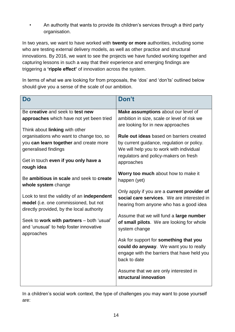• An authority that wants to provide its children's services through a third party organisation.

In two years, we want to have worked with **twenty or more** authorities, including some who are testing external delivery models, as well as other practice and structural innovations. By 2016, we want to see the projects we have funded working together and capturing lessons in such a way that their experience and emerging findings are triggering a **'ripple effect'** of innovation across the system.

In terms of what we are looking for from proposals, the 'dos' and 'don'ts' outlined below should give you a sense of the scale of our ambition.

| Do                                                                                                                                | Don't                                                                                                                                           |  |
|-----------------------------------------------------------------------------------------------------------------------------------|-------------------------------------------------------------------------------------------------------------------------------------------------|--|
| Be creative and seek to test new                                                                                                  | Make assumptions about our level of                                                                                                             |  |
| approaches which have not yet been tried                                                                                          | ambition in size, scale or level of risk we                                                                                                     |  |
| Think about linking with other                                                                                                    | are looking for in new approaches                                                                                                               |  |
| organisations who want to change too, so                                                                                          | <b>Rule out ideas</b> based on barriers created                                                                                                 |  |
| you can learn together and create more                                                                                            | by current guidance, regulation or policy.                                                                                                      |  |
| generalised findings                                                                                                              | We will help you to work with individual                                                                                                        |  |
| Get in touch even if you only have a<br>rough idea                                                                                | regulators and policy-makers on fresh<br>approaches                                                                                             |  |
|                                                                                                                                   | Worry too much about how to make it                                                                                                             |  |
| Be ambitious in scale and seek to create<br>whole system change                                                                   | happen (yet)                                                                                                                                    |  |
| Look to test the validity of an independent<br>model (i.e. one commissioned, but not<br>directly provided, by the local authority | Only apply if you are a current provider of<br>social care services. We are interested in<br>hearing from anyone who has a good idea            |  |
| Seek to work with partners - both 'usual'<br>and 'unusual' to help foster innovative<br>approaches                                | Assume that we will fund a large number<br>of small pilots. We are looking for whole<br>system change                                           |  |
|                                                                                                                                   | Ask for support for something that you<br>could do anyway. We want you to really<br>engage with the barriers that have held you<br>back to date |  |
|                                                                                                                                   | Assume that we are only interested in<br>structural innovation                                                                                  |  |

In a children's social work context, the type of challenges you may want to pose yourself are: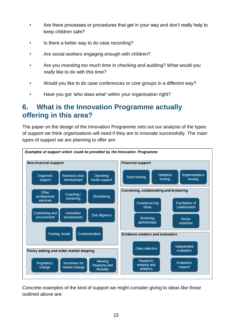- Are there processes or procedures that get in your way and don't really help to keep children safe?
- Is there a better way to do case recording?
- Are social workers engaging enough with children?
- Are you investing too much time in checking and auditing? What would you *really* like to do with this time?
- Would you like to do case conferences or core groups in a different way?
- Have you got *'who does what'* within your organisation right?

## <span id="page-14-0"></span>**6. What is the Innovation Programme actually offering in this area?**

The paper on the design of the Innovation Programme sets out our analysis of the types of support we think organisations will need if they are to innovate successfully. The main types of support we are planning to offer are:



Concrete examples of the kind of support we might consider giving to ideas like those outlined above are: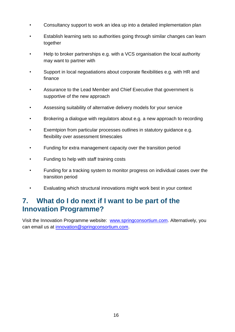- Consultancy support to work an idea up into a detailed implementation plan
- Establish learning sets so authorities going through similar changes can learn together
- Help to broker partnerships e.g. with a VCS organisation the local authority may want to partner with
- Support in local negoatiations about corporate flexibilities e.g. with HR and finance
- Assurance to the Lead Member and Chief Executive that government is supportive of the new approach
- Assessing suitability of alternative delivery models for your service
- Brokering a dialogue with regulators about e.g. a new approach to recording
- Exemtpion from particular processes outlines in statutory quidance e.g. flexibility over assessment timescales
- Funding for extra management capacity over the transition period
- Funding to help with staff training costs
- Funding for a tracking system to monitor progress on individual cases over the transition period
- Evaluating which structural innovations might work best in your context

## <span id="page-15-0"></span>**7. What do I do next if I want to be part of the Innovation Programme?**

Visit the Innovation Programme website: [www.springconsortium.com.](http://www.springconsortium.com/) Alternatively, you can email us at [innovation@springconsortium.com.](mailto:innovation@springconsortium.com)